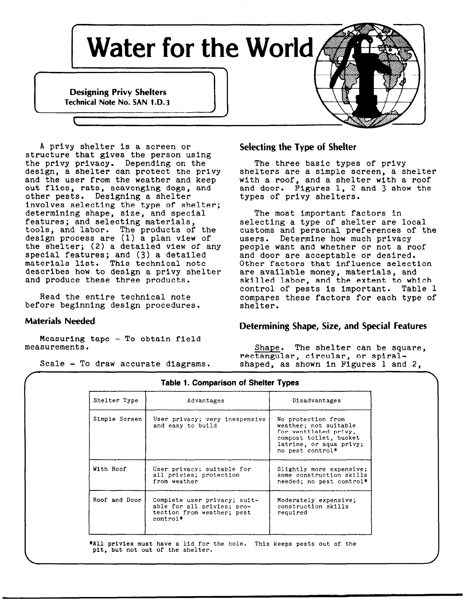

A privy shelter is a screen or structure that gives the person using the privy privacy. Depending on the The three basic types of priv design, a shelter can protect the privy shelters are a simple screen, a shelt $\epsilon$ and the user from the weather and keep with a roof, and a shelter with a roof out flies, rats, scavenging dogs, and and door. Figures 1, 2 and 3 show the out flies, rats, scavenging dogs, and and door. Figures 1, 2 other pests. Designing a shelter types of privy shelters. other pests. Designing a shelter Involves selecting the type of shelter; determining shape, size, and special The most important factors In features; and selecting materials, selecting a type of shelter are local tools, and labor. The products of the design process are (1) a plan view of the shelter; (2) a detailed view of any special features; and (3) a detailed and door are acceptable or desire materials list. This technical note other factors that influence selection describes how to design a privy shelter are available money, materials, and and produce these three products. Skilled labor, and the extent to which

before beginning design procedures.

Measuring tape - To obtain field

# Selecting the Type of Shelter

customs and personal preferences of the users. Determine how much privac people want and whether or not a roof control of pests Is important. Table 1 Read the entire technical note examperes these factors for each type of creation of the sector of the sector of<br>Shelter.

# Materials Needed Determining Shape, Size, and Special Features

measurements. The shape. The shelter can be square, rectangular, circular, or spiral-Scale - To draw accurate diagrams. shaped, as shown in Figures 1 and 2,

| Shelter Type  | Advantages                                                                                           | Disadvantages                                                                                                                                 |
|---------------|------------------------------------------------------------------------------------------------------|-----------------------------------------------------------------------------------------------------------------------------------------------|
| Simple Screen | User privacy; very inexpensive<br>and easy to build                                                  | No protection from<br>weather; not suitable<br>for ventilated privy.<br>compost toilet, bucket<br>latrine, or aqua privy;<br>no pest control* |
| With Roof     | User privacy; suitable for<br>all privies; protection<br>from weather                                | Slightly more expensive;<br>some construction skills<br>needed; no pest control*                                                              |
| Roof and Door | Complete user privacy; suit-<br>able for all privies; pro-<br>tection from weather; pest<br>control* | Moderately expensive;<br>construction skills<br>required                                                                                      |

# $\overbrace{ }$ Table 1. Comparison of Shelter Types

\*All privies must have a lid for the hole. This keeps pests out of the pit, but not out of the shelter.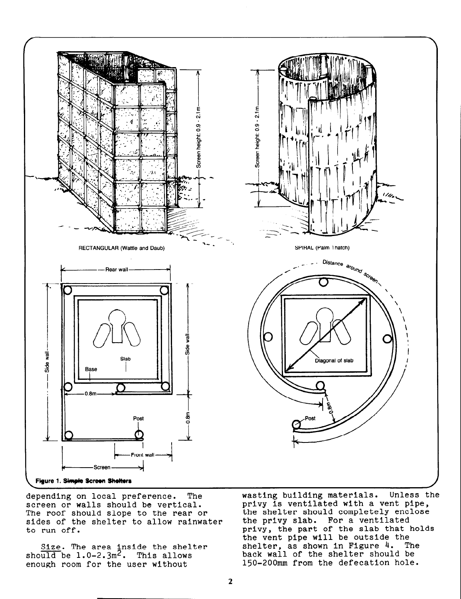

depending on local preference. The screen or walls should be vertical. The roof should slope to the rear or sides of the shelter to allow rainwater to run off.

 $Size.$  The area inside the shelt should be  $1.0-2.3\mathrm{m}^2$ . This allow enough room for the user without

wasting building materials. Unless the privy is ventilated with a vent pipe, the shelter should completely enclose the privy slab. For a ventilated privy, the part of the slab that holds the vent pipe will be outside the shelter, as shown in Figure  $4.$  The shelter, as shown in Figure 4. The back wall of the shelter should be 150-200mm from the defecation hole.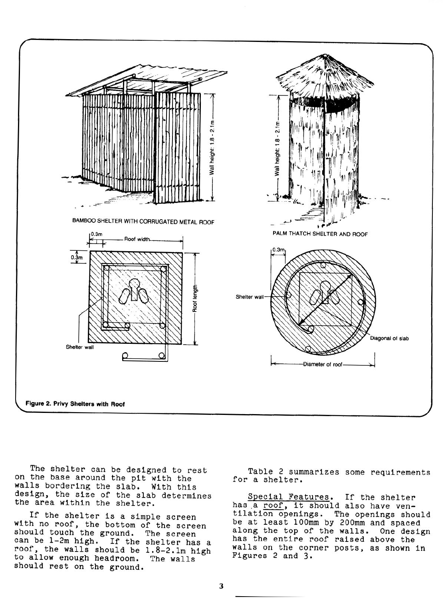

The shelter can be designed to rest on the base around the pit with the walls bordering the slab. With thi design, the size of the slab determines the area within the shelter.

If the shelter is a simple screen with no roof, the bottom of the screen should touch the ground. The screen can be l-2m high. If the shelter has a roof, the walls should be 1.8-2.lm high to allow enough headroom. The walls should rest on the ground.

Table 2 summarizes some requirements for a shelter.

Special Features. If the shelter has a roof, it should also have ventilation openings. The openings should be at least 1OOmm by 200mm and spaced along the top of the walls. One design has the entire roof raised above the walls on the corner posts, as shown in Figures 2 and 3.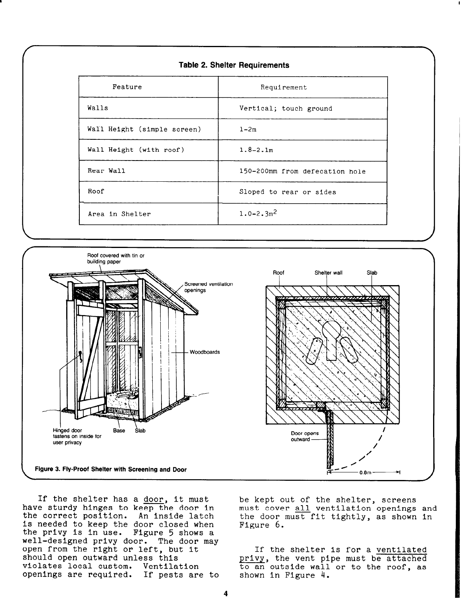| Feature                     | Requirement                    |  |
|-----------------------------|--------------------------------|--|
| Walls                       | Vertical; touch ground         |  |
| Wall Height (simple screen) | $1 - 2m$                       |  |
| Wall Height (with roof)     | $1.8 - 2.1m$                   |  |
| Rear Wall                   | 150-200mm from defecation hole |  |
| Roof                        | Sloped to rear or sides        |  |
| Area in Shelter             | $1.0 - 2.3$ <sup>2</sup>       |  |



If the shelter has a <u>door</u>, it must<br>have sturdy hinges to keep the door in must cover all ventilation openings<br>the correct position. An inside latch the door must fit tightly, as shown the correct position. is needed to keep the door closed when<br>the privy is in use. Figure 5 shows a the privy is in use. well-designed privy door. The door may open from the right or left, but it should open outward unless this violates local custom. Ventilation openings are required. If pests are to

must cover all ventilation openings and the door must fit tightly, as shown in Figure 6.

If the shelter is for a ventilated privy, the vent pipe must be attached to an outside wall or to the roof, as shown in Figure 4.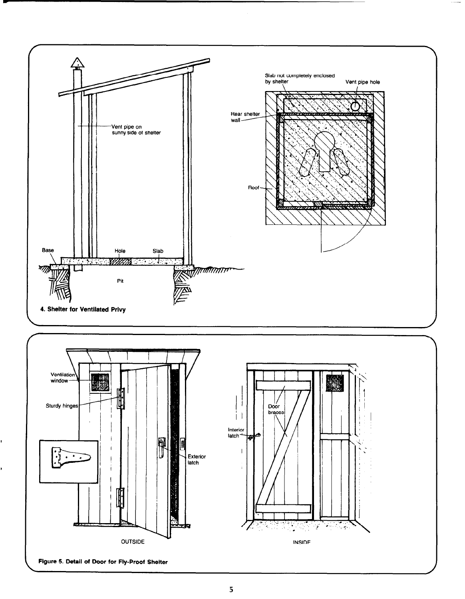

Figure 5. Detail of Door for Fly-Proof Shelter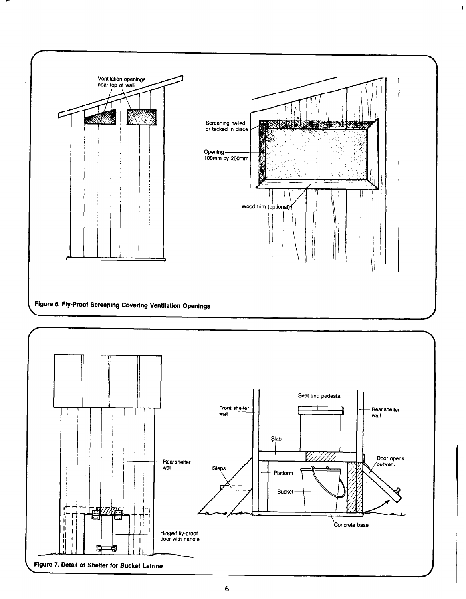

 $\mathbf{I}$ 

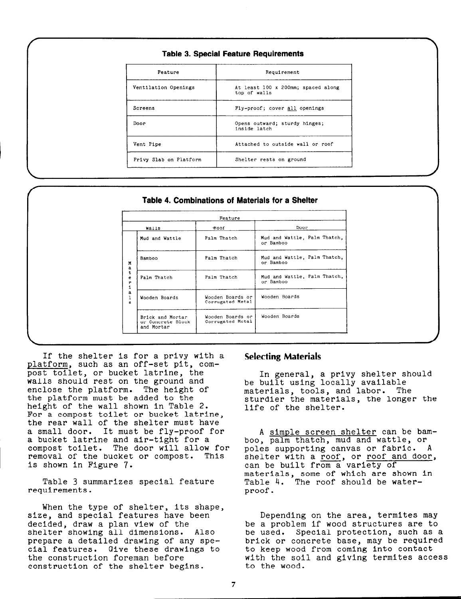| <b>Table 3. Special Feature Requirements</b> |  |  |  |  |
|----------------------------------------------|--|--|--|--|
|----------------------------------------------|--|--|--|--|

| Feature                | Requirement                                        |  |  |
|------------------------|----------------------------------------------------|--|--|
| Ventilation Openings   | At least 100 x 200mm; spaced along<br>top of walls |  |  |
| Screens                | Fly-proof; cover all openings                      |  |  |
| Door                   | Opens outward; sturdy hinges;<br>inside latch      |  |  |
| Vent Pipe              | Attached to outside wall or roof                   |  |  |
| Privy Slab on Platform | Shelter rests on ground                            |  |  |

### Table 4. Combinations of Materials for a Shelter

| Walls                                               | hoof                                 | Door                                      |
|-----------------------------------------------------|--------------------------------------|-------------------------------------------|
| Mud and Wattle                                      | Palm Thatch                          | Mud and Wattle, Palm Thatch,<br>or Bamboo |
| Bamboo                                              | Palm Thatch                          | Mud and Wattle, Palm Thatch,<br>or Bamboo |
| Palm Thatch                                         | Palm Thatch                          | Mud and Wattle, Palm Thatch,<br>or Bamboo |
| Wooden Boards                                       | Wooden Boards or<br>Corrugated Metal | Wooden Boards                             |
| Brick and Mortar<br>or Concrete Block<br>and Mortar | Wooden Boards or<br>Corrugated Metal | Wooden Boards                             |

If the shelter is for a privy with a **Selecting Material**s platform, such as an off-set pit, compost toilet, or bucket latrine, the walls should rest on the ground and enclose the platform. The height of the platform must be added to the height of the wall shown in Table 2. For a compost toilet or bucket latrine, the rear wall of the shelter must have a small door. It must be fly-proof for a bucket latrine and air-tight for a compost toilet. The door will allow for removal of the bucket or compost. This is shown in Figure 7.

Table 3 summarizes special feature requirements.

When the type of shelter, its shape,<br>size, and special features have been size, and special features have been bepending on the area, termites may<br>decided, draw a plan view of the be a problem if wood structures are to cial features. Give these drawings to to keep wood from coming into contact construction of the shelter begins.

In general, a privy shelter should be built using locally available materials, tools, and labor. The sturdier the materials, the longer the life of the shelter.

A simple screen shelter can be bamboo, palm thatch, mud and wattle, or poles supporting canvas or fabric. A shelter with a roof, or roof and door, can be built from a variety of materials, some of which are shown in Table 4. The roof should be waterproof.

be a problem if wood structures are to<br>be used. Special protection, such as shelter showing all dimensions. Also be used. Special protection, such as a prepare a detailed drawing of any spe- brick or concrete base, may be required the construction foreman before with the soil and giving termites access<br>construction of the shelter begins, to the wood.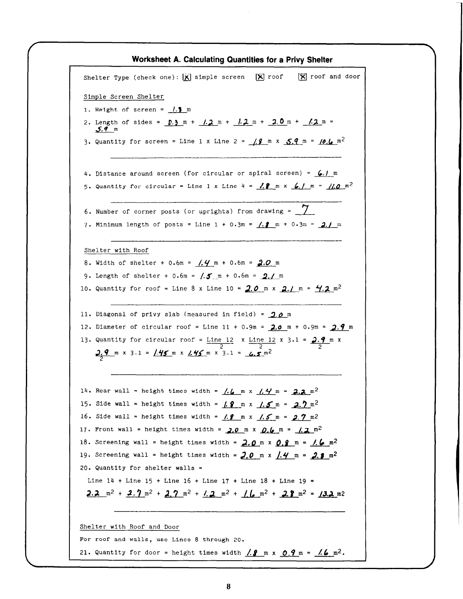Worksheet A. Calculating Quantities for a Privy Shelter Shelter Type (check one):  $\boxed{\mathbf{X}}$  simple screen  $\boxed{\mathbf{X}}$  roof  $\boxed{\mathbf{X}}$  roof and door Simple Screen Shelter 1. Height of screen =  $1.9 \text{ m}$ 2. Length of sides =  $0.3 \text{ m} + 1.2 \text{ m} + 1.2 \text{ m} + 2.0 \text{ m} + 1.2 \text{ m} =$ 5.9 m 3. Quantity for screen = Line 1 x Line 2 =  $\frac{19}{18}$  m x  $\frac{5.9}{5.9}$  m =  $\frac{10.6}{10.2}$  m<sup>2</sup> 4. Distance around screen (for circular or spiral screen) =  $6.1$  m 5. Quantity for circular = Line 1 x Line 4 =  $\frac{1}{2}$  m x  $\frac{6}{1}$  m =  $\frac{110}{2}$  m<sup>2</sup> 6. Number of corner posts (or uprights) from drawing =  $\sqrt{2}$ 7. Minimum length of posts = Line  $1 + 0.3m = 1.2$  m + 0.3m = 2.1 m Shelter with Roof 8. Width of shelter + 0.6m =  $(0.4 \, \text{m} + 0.6 \, \text{m} = 2.0 \, \text{m})$ 9. Length of shelter + 0.6m =  $\sqrt{5}$  m + 0.6m =  $\sqrt{2}$ , m 10. Quantity for roof = Line 8 x Line 10 =  $2.0$  m x  $2.1$  m =  $4.2$  m<sup>2</sup> 11. Diagonal of privy slab (measured in field) =  $2.0$  m 12. Diameter of circular roof = Line 11 + 0.9m =  $2.0$  m + 0.9m =  $2.9$  m 13. Quantity for circular roof =  $\frac{\text{Line}}{2}$  x  $\frac{\text{Line}}{2}$  x 3.1 =  $\frac{2.9}{2}$  m x  $\frac{2.9}{2}$  m x 3.1 =  $\frac{1.45}{2}$  m x  $\frac{1.45}{2}$  m x 3.1 =  $\frac{6.5}{2}$ 14. Rear wall = height times width =  $/$ ,  $/$  m x  $/$ ,  $/$  m = 2.2 m<sup>2</sup> 15. Side wall = height times width =  $f.$  9 m x  $f.$  5 m = 2.2 m<sup>2</sup> 16. Side wall = height times width =  $\frac{\beta}{\beta}$  m x  $\frac{\beta}{\beta}$  m =  $\frac{2}{\beta}$  m<sup>2</sup> 17. Front wall = height times width =  $2.0$  m x  $0.6$  m =  $1.2$  m<sup>2</sup> 18. Screening wall = height times width =  $2.0$  m x  $0.9$  m =  $/6$  m<sup>2</sup> 19. Screening wall = height times width =  $2.0\,$  m x  $/$ . $4\,$  m =  $2.3\,$  m<sup>2</sup> 20. Quantity for shelter walls = Line  $14$  + Line  $15$  + Line  $16$  + Line  $17$  + Line  $18$  + Line  $19$  =  $2.2 \text{ m}^2 + 2.7 \text{ m}^2 + 2.7 \text{ m}^2 + 1.2 \text{ m}^2 + 1.6 \text{ m}^2 + 2.8 \text{ m}^2 = 1.3.2 \text{ m}^2$ Shelter with Roof and Door For roof and walls, use Lines 8 through 20. 21. Quantity for door = height times width  $\frac{\pi}{2}$  m x  $\frac{0.9 \text{ m}}{2}$  =  $\frac{\pi}{6}$  m<sup>2</sup>.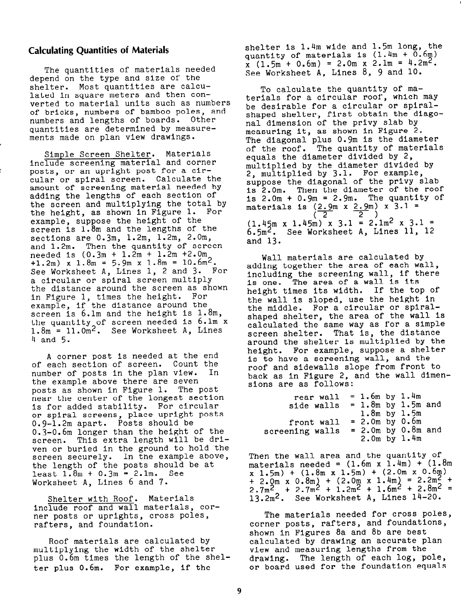## Calculating Quantities of Materials

The quantities of materials needed depend on the type and size of the shelter. Most quantities are calculated in square meters and then converted to material units such as numbers of bricks, numbers of bamboo poles, and numbers and lengths of boards. Other quantities are determined by measurements made on plan view drawings.

Simple Screen Shelter. Materials include screening material and corner posts, or an upright post for a circular or spiral screen. Calculate the amount of screening material needed by adding the lengths of each section of the screen and multiplying the total by the height, as shown in Figure 1. For example, suppose the height of the screen is 1.8m and the lengths of the sections are 0.3m, 1.2m, 1.2m, 2.0m, and 1.2m. Then the quantity of screen needed is  $(0.3m + 1.2m + 1.2m + 2.0m)$ +1.2m) x 1.8m = 5.9m x 1.8m = 10.6m2. See Worksheet A, Lines 1, 2 and 3. For a circular or spiral screen multiply the distance around the screen as shown in Figure 1, times the height. For example, if the distance around the screen is 6.1m and the height is  $1.8m$ , the quantity of screen needed is 6.lm x  $1.8\mathrm{m}$  =  $11.0\mathrm{m}^2$ . See Worksheet A, Lines 4 and 5.

A corner post is needed at the end of each section of screen. Count the number of posts in the plan view. In the example above there are seven<br>posts as shown in Figure 1. The post posts as shown in Figure  $1.$ near the center of the longest section is for added stability. For circular or spiral screens, place upright posts 0.9-1.2m apart. Posts should be 0.3-0.6m longer than the height of the screen. This extra length will be driven or buried in the ground to hold the screen securely. In the example above, the length of the posts should be at least  $1.8m + 0.3m = 2.1m$ . See Worksheet A, Lines 6 and 7.

Shelter with Roof. Materials Include roof and wall materials, corner posts or uprights, cross poles, rafters, and foundation.

Roof materials are calculated by multiplying the width of the shelter plus 0.6m times the length of the shelter plus 0.6m. For example, if the

shelter is 1.4m wide and 1.5m long, the quantity of materials is  $(1.4m + 0.6m)$  $\bar{x}$  (1.5m + 0.6m) = 2.0m x 2.1m = 4.2m<sup>2</sup>. See Worksheet A, Lines 8, 9 and 10.

To calculate the quantity of materials for a circular roof, which may be desirable for a circular or spiralshaped shelter, first obtain the diagonal dimension of the privy slab by measuring it, as shown in Figure 2. The diagonal plus 0.9m is the diameter of the roof. The quantity of materials equals the diameter divided by 2, multiplied by the diameter divided by 2, multiplied by 3.1. For example, suppose the diagonal of the privy slab is 2.0m. Then the diameter of the roof<br>is  $2.0m + 0.9m = 2.9m$ . The quantity of is  $2.0m + 0.9m = 2.9m$ . materials is  $(2.9m \times 2.9m) \times 3.1$  =  $\begin{pmatrix} 2 & 2 \end{pmatrix}$  $(1.45m \times 1.45m) \times 3.1 = 2.1m^2 \times 3.1 =$  $6.5m<sup>2</sup>$ . See Worksheet A, Lines 11, 12 and 13.

Wall materials are calculated by adding together the area of each wall, including the screening wall, if there is one. The area of a wall Is its height times its width. If the top of the wall Is sloped, use the height in the middle. For a circular or spiralshaped shelter, the area of the wall is calculated the same way as for a simple screen shelter. That is, the distance around the shelter is multiplied by the height. For example, suppose a shelter is to have a screening wall, and the roof and sidewalls slope from front to back as in Figure 2, and the wall dimensions are as follows:

| rear wall       | $= 1.6m$ by $1.4m$ |                        |  |
|-----------------|--------------------|------------------------|--|
| side walls      |                    | $= 1.8$ m by 1.5m and  |  |
|                 | $1.8m$ by $1.5m$   |                        |  |
| front wall      | $= 2.0m$ by $0.6m$ |                        |  |
| screening walls |                    | $= 2.0m$ by $0.8m$ and |  |
|                 |                    | $2.0m$ by $1.4m$       |  |

Then the wall area and the quantity of materials needed =  $(1.6m \times 1.4m) + (1.8m)$  $x \ 1.5m$  +  $(1.8m \ x \ 1.5m)$  +  $(2.0m \ x \ 0.6m)$ + 2.0m x 0.8m) + (2.0m x 1.4m)<br>2.7m<sup>2</sup> + 2.7m<sup>2</sup> + 1.2m<sup>2</sup> + 1.6m<sup>2</sup>  $= 2.2 m<sub>2</sub> +$  $+ 2.8m^2 =$ 13.2m2. See Worksheet A, Lines 14-20.

The materials needed for cross poles, corner posts, rafters, and foundations, shown in Figures 8a and 8b are best calculated by drawing an accurate plan view and measuring lengths from the drawing. The length of each log, pole, or board used for the foundation equals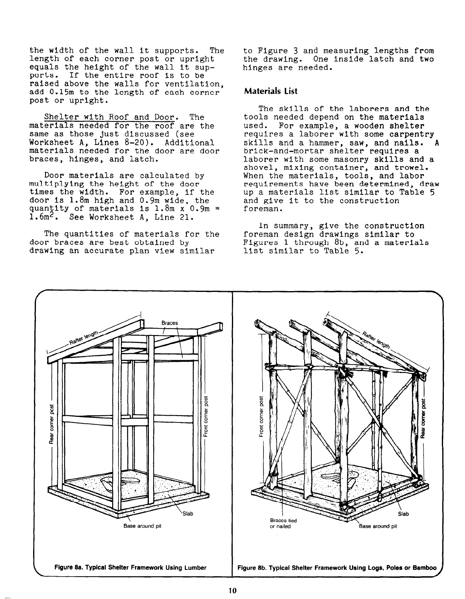the width of the wall it supports. The length of each corner post or upright equals the height of the wall It supports. If the entire roof is to be raised above the walls for ventilat add 0.15m to the length of each corne post or upright.

Shelter with Roof and Door. The materials needed for the roof are the same as those just discussed (see Worksheet A, Lines 8-20). Additional materials needed for the door are door braces, hinges, and latch.

Door materials are calculated by multiplying the height of the door times the width. For example, if the door is  $1.8$ m high and  $0.9$ m wide, the quantity of materials is 1.8m x 0.9m = 1.6m2. See Worksheet A, Line 21.

The quantities of materials for the door braces are best obtained by drawing an accurate plan view similar

to Figure 3 and measuring lengths from the drawing. One inside latch and two hinges are needed.

### Materials list

The skills of the laborers and the tools needed depend on the materials used. For example, a wooden shelter requires a laborer with some carpentry skills and a hammer, saw, and nails. brick-and-mortar shelter requires a laborer with some masonry skills and a shovel, mixing container, and trowel. When the materials, tools, and labor requirements have been determined, draw up a materials list similar to Table 5 and give it to the construction foreman.

In summary, give the construction foreman design drawings similar to Figures 1 through 8b, and a materials list similar to Table 5.